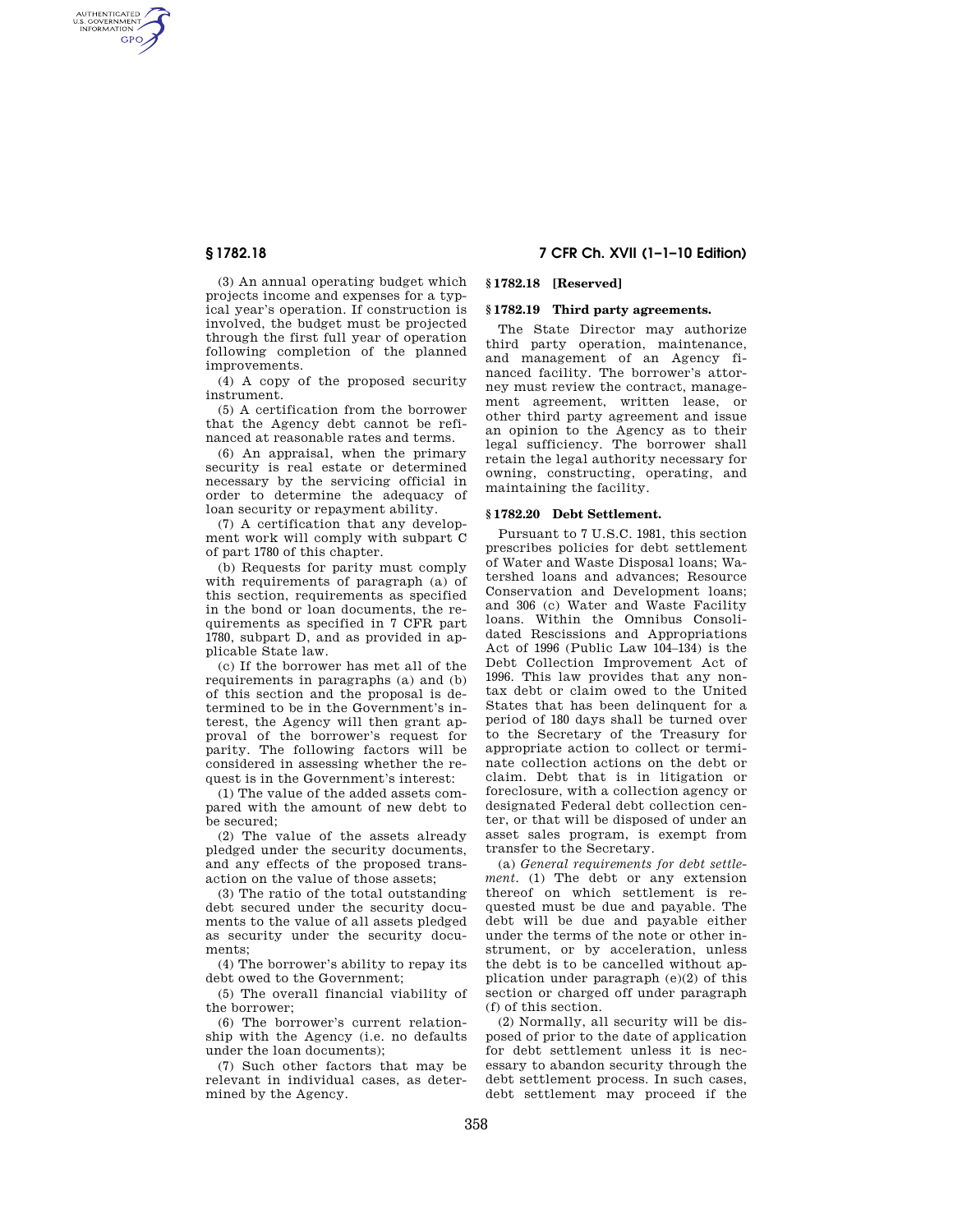AUTHENTICATED<br>U.S. GOVERNMENT<br>INFORMATION GPO

> (3) An annual operating budget which projects income and expenses for a typical year's operation. If construction is involved, the budget must be projected through the first full year of operation following completion of the planned improvements.

> (4) A copy of the proposed security instrument.

> (5) A certification from the borrower that the Agency debt cannot be refinanced at reasonable rates and terms.

> (6) An appraisal, when the primary security is real estate or determined necessary by the servicing official in order to determine the adequacy of loan security or repayment ability.

> (7) A certification that any development work will comply with subpart C of part 1780 of this chapter.

> (b) Requests for parity must comply with requirements of paragraph (a) of this section, requirements as specified in the bond or loan documents, the requirements as specified in 7 CFR part 1780, subpart D, and as provided in applicable State law.

> (c) If the borrower has met all of the requirements in paragraphs (a) and (b) of this section and the proposal is determined to be in the Government's interest, the Agency will then grant approval of the borrower's request for parity. The following factors will be considered in assessing whether the request is in the Government's interest:

> (1) The value of the added assets compared with the amount of new debt to be secured;

> (2) The value of the assets already pledged under the security documents, and any effects of the proposed transaction on the value of those assets;

> (3) The ratio of the total outstanding debt secured under the security documents to the value of all assets pledged as security under the security documents;

> (4) The borrower's ability to repay its debt owed to the Government;

> (5) The overall financial viability of the borrower;

> (6) The borrower's current relationship with the Agency (i.e. no defaults under the loan documents);

> (7) Such other factors that may be relevant in individual cases, as determined by the Agency.

# **§ 1782.18 7 CFR Ch. XVII (1–1–10 Edition)**

### **§ 1782.18 [Reserved]**

### **§ 1782.19 Third party agreements.**

The State Director may authorize third party operation, maintenance, and management of an Agency financed facility. The borrower's attorney must review the contract, management agreement, written lease, or other third party agreement and issue an opinion to the Agency as to their legal sufficiency. The borrower shall retain the legal authority necessary for owning, constructing, operating, and maintaining the facility.

### **§ 1782.20 Debt Settlement.**

Pursuant to 7 U.S.C. 1981, this section prescribes policies for debt settlement of Water and Waste Disposal loans; Watershed loans and advances; Resource Conservation and Development loans; and 306 (c) Water and Waste Facility loans. Within the Omnibus Consolidated Rescissions and Appropriations Act of 1996 (Public Law 104–134) is the Debt Collection Improvement Act of 1996. This law provides that any nontax debt or claim owed to the United States that has been delinquent for a period of 180 days shall be turned over to the Secretary of the Treasury for appropriate action to collect or terminate collection actions on the debt or claim. Debt that is in litigation or foreclosure, with a collection agency or designated Federal debt collection center, or that will be disposed of under an asset sales program, is exempt from transfer to the Secretary.

(a) *General requirements for debt settlement.* (1) The debt or any extension thereof on which settlement is requested must be due and payable. The debt will be due and payable either under the terms of the note or other instrument, or by acceleration, unless the debt is to be cancelled without application under paragraph (e)(2) of this section or charged off under paragraph (f) of this section.

(2) Normally, all security will be disposed of prior to the date of application for debt settlement unless it is necessary to abandon security through the debt settlement process. In such cases, debt settlement may proceed if the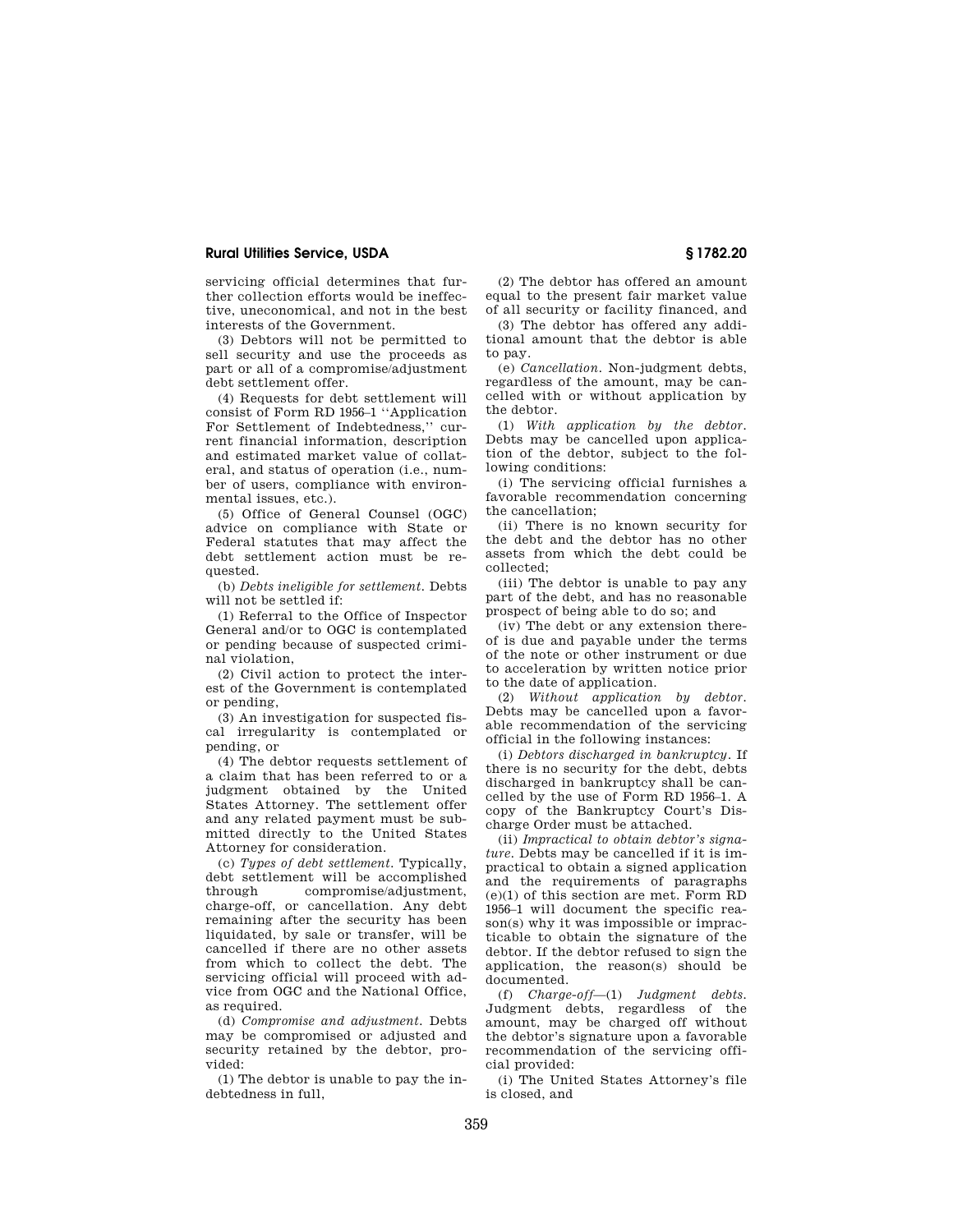### **Rural Utilities Service, USDA § 1782.20**

servicing official determines that further collection efforts would be ineffective, uneconomical, and not in the best interests of the Government.

(3) Debtors will not be permitted to sell security and use the proceeds as part or all of a compromise/adjustment debt settlement offer.

(4) Requests for debt settlement will consist of Form RD 1956–1 ''Application For Settlement of Indebtedness,'' current financial information, description and estimated market value of collateral, and status of operation (i.e., number of users, compliance with environmental issues, etc.).

(5) Office of General Counsel (OGC) advice on compliance with State or Federal statutes that may affect the debt settlement action must be requested.

(b) *Debts ineligible for settlement.* Debts will not be settled if:

(1) Referral to the Office of Inspector General and/or to OGC is contemplated or pending because of suspected criminal violation,

(2) Civil action to protect the interest of the Government is contemplated or pending,

(3) An investigation for suspected fiscal irregularity is contemplated or pending, or

(4) The debtor requests settlement of a claim that has been referred to or a judgment obtained by the United States Attorney. The settlement offer and any related payment must be submitted directly to the United States Attorney for consideration.

(c) *Types of debt settlement.* Typically, debt settlement will be accomplished through compromise/adjustment, charge-off, or cancellation. Any debt remaining after the security has been liquidated, by sale or transfer, will be cancelled if there are no other assets from which to collect the debt. The servicing official will proceed with advice from OGC and the National Office, as required.

(d) *Compromise and adjustment.* Debts may be compromised or adjusted and security retained by the debtor, provided:

(1) The debtor is unable to pay the indebtedness in full,

(2) The debtor has offered an amount equal to the present fair market value of all security or facility financed, and

(3) The debtor has offered any additional amount that the debtor is able to pay.

(e) *Cancellation.* Non-judgment debts, regardless of the amount, may be cancelled with or without application by the debtor.

(1) *With application by the debtor.*  Debts may be cancelled upon application of the debtor, subject to the following conditions:

(i) The servicing official furnishes a favorable recommendation concerning the cancellation;

(ii) There is no known security for the debt and the debtor has no other assets from which the debt could be collected;

(iii) The debtor is unable to pay any part of the debt, and has no reasonable prospect of being able to do so; and

(iv) The debt or any extension thereof is due and payable under the terms of the note or other instrument or due to acceleration by written notice prior to the date of application.

(2) *Without application by debtor.*  Debts may be cancelled upon a favorable recommendation of the servicing official in the following instances:

(i) *Debtors discharged in bankruptcy.* If there is no security for the debt, debts discharged in bankruptcy shall be cancelled by the use of Form RD 1956–1. A copy of the Bankruptcy Court's Discharge Order must be attached.

(ii) *Impractical to obtain debtor's signature.* Debts may be cancelled if it is impractical to obtain a signed application and the requirements of paragraphs (e)(1) of this section are met. Form RD 1956–1 will document the specific reason(s) why it was impossible or impracticable to obtain the signature of the debtor. If the debtor refused to sign the application, the reason(s) should be documented.

(f) *Charge-off*—(1) *Judgment debts.*  Judgment debts, regardless of the amount, may be charged off without the debtor's signature upon a favorable recommendation of the servicing official provided:

(i) The United States Attorney's file is closed, and